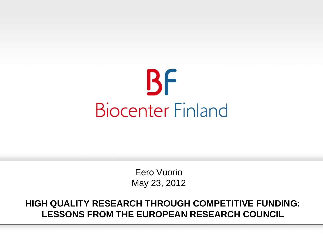

Eero Vuorio May 23, 2012

**HIGH QUALITY RESEARCH THROUGH COMPETITIVE FUNDING: LESSONS FROM THE EUROPEAN RESEARCH COUNCIL**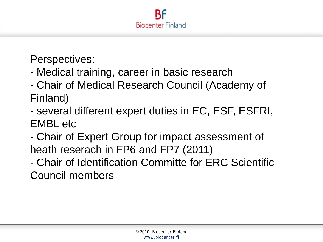

Perspectives:

- Medical training, career in basic research
- Chair of Medical Research Council (Academy of Finland)
- several different expert duties in EC, ESF, ESFRI, EMBL etc
- Chair of Expert Group for impact assessment of heath reserach in FP6 and FP7 (2011)
- Chair of Identification Committe for ERC Scientific Council members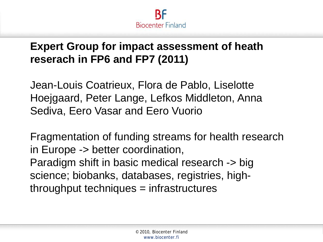

# **Expert Group for impact assessment of heath reserach in FP6 and FP7 (2011)**

Jean-Louis Coatrieux, Flora de Pablo, Liselotte Hoejgaard, Peter Lange, Lefkos Middleton, Anna Sediva, Eero Vasar and Eero Vuorio

Fragmentation of funding streams for health research in Europe -> better coordination, Paradigm shift in basic medical research -> big science; biobanks, databases, registries, highthroughput techniques = infrastructures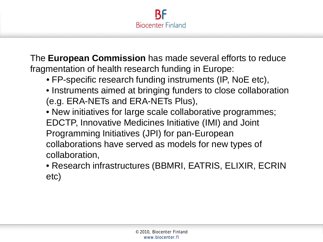

The **European Commission** has made several efforts to reduce fragmentation of health research funding in Europe:

- FP-specific research funding instruments (IP, NoE etc),
- Instruments aimed at bringing funders to close collaboration (e.g. ERA-NETs and ERA-NETs Plus),
- New initiatives for large scale collaborative programmes; EDCTP, Innovative Medicines Initiative (IMI) and Joint Programming Initiatives (JPI) for pan-European collaborations have served as models for new types of collaboration,
- Research infrastructures (BBMRI, EATRIS, ELIXIR, ECRIN etc)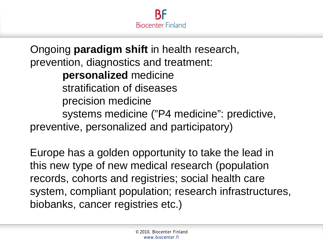

Ongoing **paradigm shift** in health research, prevention, diagnostics and treatment: **personalized** medicine stratification of diseases precision medicine systems medicine ("P4 medicine": predictive, preventive, personalized and participatory)

Europe has a golden opportunity to take the lead in this new type of new medical research (population records, cohorts and registries; social health care system, compliant population; research infrastructures, biobanks, cancer registries etc.)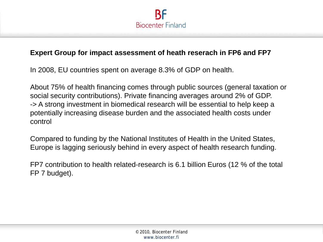

### **Expert Group for impact assessment of heath reserach in FP6 and FP7**

In 2008, EU countries spent on average 8.3% of GDP on health.

About 75% of health financing comes through public sources (general taxation or social security contributions). Private financing averages around 2% of GDP. -> A strong investment in biomedical research will be essential to help keep a potentially increasing disease burden and the associated health costs under control

Compared to funding by the National Institutes of Health in the United States, Europe is lagging seriously behind in every aspect of health research funding.

FP7 contribution to health related-research is 6.1 billion Euros (12 % of the total FP 7 budget).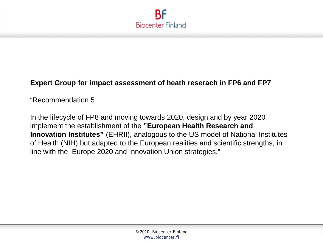

### **Expert Group for impact assessment of heath reserach in FP6 and FP7**

"Recommendation 5

In the lifecycle of FP8 and moving towards 2020, design and by year 2020 implement the establishment of the **"European Health Research and Innovation Institutes"** (EHRII), analogous to the US model of National Institutes of Health (NIH) but adapted to the European realities and scientific strengths, in line with the Europe 2020 and Innovation Union strategies."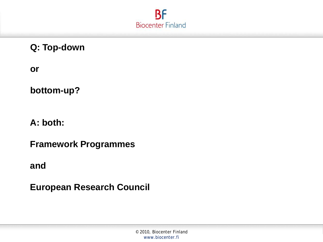

**Q: Top-down**

**or**

**bottom-up?**

**A: both:**

**Framework Programmes**

**and** 

**European Research Council**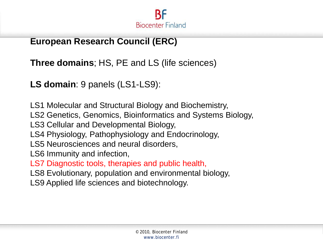

## **European Research Council (ERC)**

**Three domains**; HS, PE and LS (life sciences)

**LS domain**: 9 panels (LS1-LS9):

LS1 Molecular and Structural Biology and Biochemistry,

LS2 Genetics, Genomics, Bioinformatics and Systems Biology,

LS3 Cellular and Developmental Biology,

LS4 Physiology, Pathophysiology and Endocrinology,

LS5 Neurosciences and neural disorders,

LS6 Immunity and infection,

LS7 Diagnostic tools, therapies and public health,

LS8 Evolutionary, population and environmental biology,

LS9 Applied life sciences and biotechnology.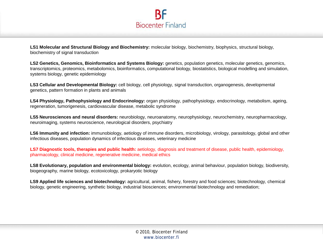

**LS1 Molecular and Structural Biology and Biochemistry:** molecular biology, biochemistry, biophysics, structural biology, biochemistry of signal transduction

**LS2 Genetics, Genomics, Bioinformatics and Systems Biology:** genetics, population genetics, molecular genetics, genomics, transcriptomics, proteomics, metabolomics, bioinformatics, computational biology, biostatistics, biological modelling and simulation, systems biology, genetic epidemiology

**LS3 Cellular and Developmental Biology:** cell biology, cell physiology, signal transduction, organogenesis, developmental genetics, pattern formation in plants and animals

**LS4 Physiology, Pathophysiology and Endocrinology:** organ physiology, pathophysiology, endocrinology, metabolism, ageing, regeneration, tumorigenesis, cardiovascular disease, metabolic syndrome

**LS5 Neurosciences and neural disorders:** neurobiology, neuroanatomy, neurophysiology, neurochemistry, neuropharmacology, neuroimaging, systems neuroscience, neurological disorders, psychiatry

**LS6 Immunity and infection:** immunobiology, aetiology of immune disorders, microbiology, virology, parasitology, global and other infectious diseases, population dynamics of infectious diseases, veterinary medicine

**LS7 Diagnostic tools, therapies and public health:** aetiology, diagnosis and treatment of disease, public health, epidemiology, pharmacology, clinical medicine, regenerative medicine, medical ethics

**LS8 Evolutionary, population and environmental biology:** evolution, ecology, animal behaviour, population biology, biodiversity, biogeography, marine biology, ecotoxicology, prokaryotic biology

**LS9 Applied life sciences and biotechnology:** agricultural, animal, fishery, forestry and food sciences; biotechnology, chemical biology, genetic engineering, synthetic biology, industrial biosciences; environmental biotechnology and remediation;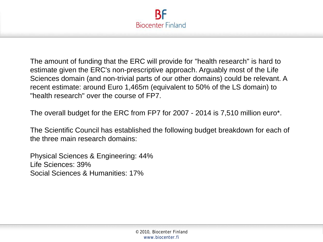

The amount of funding that the ERC will provide for "health research" is hard to estimate given the ERC's non-prescriptive approach. Arguably most of the Life Sciences domain (and non-trivial parts of our other domains) could be relevant. A recent estimate: around Euro 1,465m (equivalent to 50% of the LS domain) to "health research" over the course of FP7.

The overall budget for the ERC from FP7 for 2007 - 2014 is 7,510 million euro\*.

The Scientific Council has established the following budget breakdown for each of the three main research domains:

Physical Sciences & Engineering: 44% Life Sciences: 39% Social Sciences & Humanities: 17%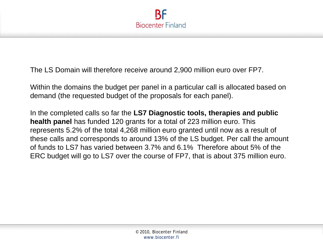

The LS Domain will therefore receive around 2,900 million euro over FP7.

Within the domains the budget per panel in a particular call is allocated based on demand (the requested budget of the proposals for each panel).

In the completed calls so far the **LS7 Diagnostic tools, therapies and public health panel** has funded 120 grants for a total of 223 million euro. This represents 5.2% of the total 4,268 million euro granted until now as a result of these calls and corresponds to around 13% of the LS budget. Per call the amount of funds to LS7 has varied between 3.7% and 6.1% Therefore about 5% of the ERC budget will go to LS7 over the course of FP7, that is about 375 million euro.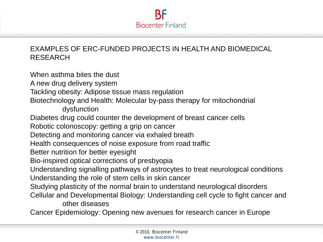

### EXAMPLES OF ERC-FUNDED PROJECTS IN HEALTH AND BIOMEDICAL RESEARCH

When asthma bites the dust A new drug delivery system Tackling obesity: Adipose tissue mass regulation Biotechnology and Health: Molecular by-pass therapy for mitochondrial dysfunction Diabetes drug could counter the development of breast cancer cells Robotic colonoscopy: getting a grip on cancer Detecting and monitoring cancer via exhaled breath Health consequences of noise exposure from road traffic Better nutrition for better eyesight Bio-inspired optical corrections of presbyopia Understanding signalling pathways of astrocytes to treat neurological conditions Understanding the role of stem cells in skin cancer Studying plasticity of the normal brain to understand neurological disorders Cellular and Developmental Biology: Understanding cell cycle to fight cancer and other diseases Cancer Epidemiology: Opening new avenues for research cancer in Europe